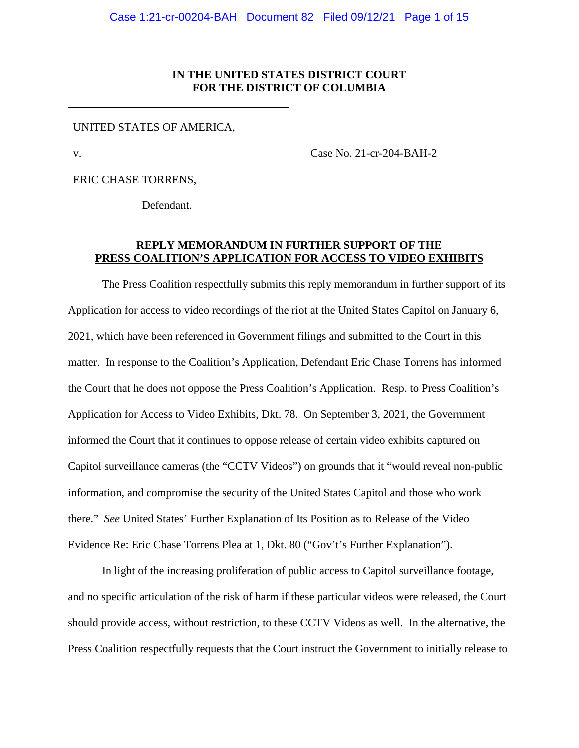## **IN THE UNITED STATES DISTRICT COURT FOR THE DISTRICT OF COLUMBIA**

UNITED STATES OF AMERICA,

v.

Case No. 21-cr-204-BAH-2

ERIC CHASE TORRENS,

Defendant.

# **REPLY MEMORANDUM IN FURTHER SUPPORT OF THE PRESS COALITION'S APPLICATION FOR ACCESS TO VIDEO EXHIBITS**

The Press Coalition respectfully submits this reply memorandum in further support of its Application for access to video recordings of the riot at the United States Capitol on January 6, 2021, which have been referenced in Government filings and submitted to the Court in this matter. In response to the Coalition's Application, Defendant Eric Chase Torrens has informed the Court that he does not oppose the Press Coalition's Application. Resp. to Press Coalition's Application for Access to Video Exhibits, Dkt. 78. On September 3, 2021, the Government informed the Court that it continues to oppose release of certain video exhibits captured on Capitol surveillance cameras (the "CCTV Videos") on grounds that it "would reveal non-public information, and compromise the security of the United States Capitol and those who work there." *See* United States' Further Explanation of Its Position as to Release of the Video Evidence Re: Eric Chase Torrens Plea at 1, Dkt. 80 ("Gov't's Further Explanation").

In light of the increasing proliferation of public access to Capitol surveillance footage, and no specific articulation of the risk of harm if these particular videos were released, the Court should provide access, without restriction, to these CCTV Videos as well. In the alternative, the Press Coalition respectfully requests that the Court instruct the Government to initially release to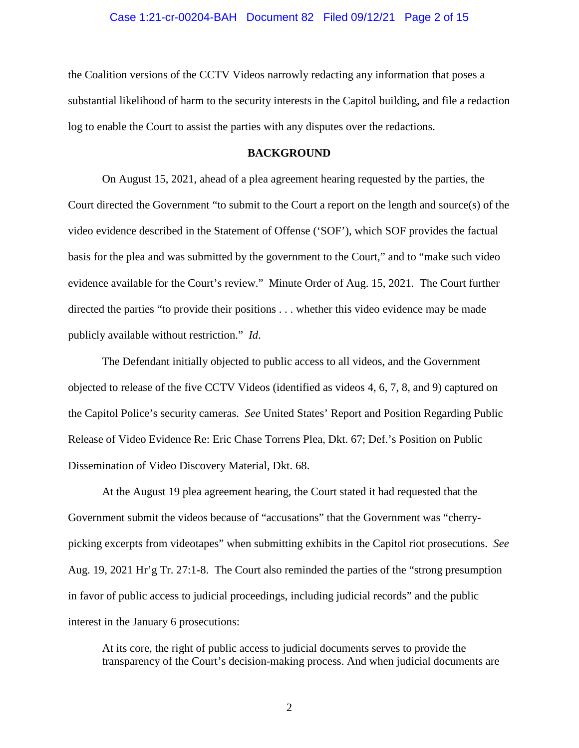#### Case 1:21-cr-00204-BAH Document 82 Filed 09/12/21 Page 2 of 15

the Coalition versions of the CCTV Videos narrowly redacting any information that poses a substantial likelihood of harm to the security interests in the Capitol building, and file a redaction log to enable the Court to assist the parties with any disputes over the redactions.

## **BACKGROUND**

On August 15, 2021, ahead of a plea agreement hearing requested by the parties, the Court directed the Government "to submit to the Court a report on the length and source(s) of the video evidence described in the Statement of Offense ('SOF'), which SOF provides the factual basis for the plea and was submitted by the government to the Court," and to "make such video evidence available for the Court's review." Minute Order of Aug. 15, 2021. The Court further directed the parties "to provide their positions . . . whether this video evidence may be made publicly available without restriction." *Id*.

The Defendant initially objected to public access to all videos, and the Government objected to release of the five CCTV Videos (identified as videos 4, 6, 7, 8, and 9) captured on the Capitol Police's security cameras. *See* United States' Report and Position Regarding Public Release of Video Evidence Re: Eric Chase Torrens Plea, Dkt. 67; Def.'s Position on Public Dissemination of Video Discovery Material, Dkt. 68.

At the August 19 plea agreement hearing, the Court stated it had requested that the Government submit the videos because of "accusations" that the Government was "cherrypicking excerpts from videotapes" when submitting exhibits in the Capitol riot prosecutions. *See*  Aug. 19, 2021 Hr'g Tr. 27:1-8. The Court also reminded the parties of the "strong presumption in favor of public access to judicial proceedings, including judicial records" and the public interest in the January 6 prosecutions:

At its core, the right of public access to judicial documents serves to provide the transparency of the Court's decision-making process. And when judicial documents are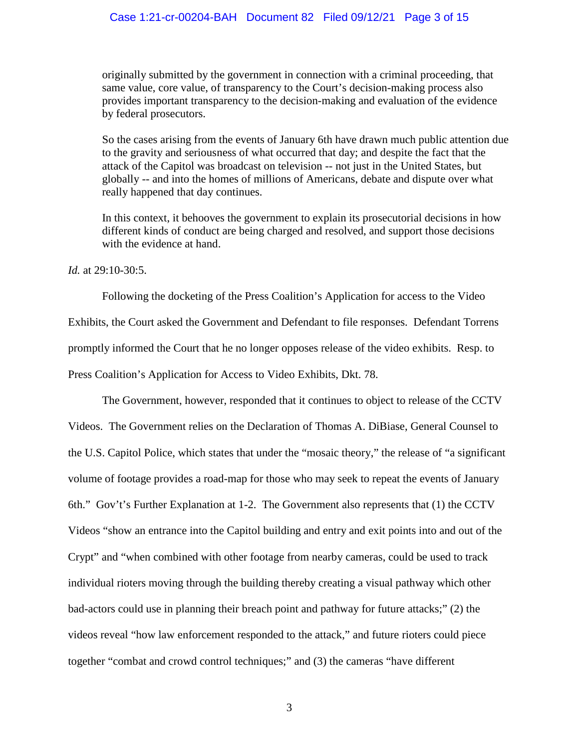### Case 1:21-cr-00204-BAH Document 82 Filed 09/12/21 Page 3 of 15

originally submitted by the government in connection with a criminal proceeding, that same value, core value, of transparency to the Court's decision-making process also provides important transparency to the decision-making and evaluation of the evidence by federal prosecutors.

So the cases arising from the events of January 6th have drawn much public attention due to the gravity and seriousness of what occurred that day; and despite the fact that the attack of the Capitol was broadcast on television -- not just in the United States, but globally -- and into the homes of millions of Americans, debate and dispute over what really happened that day continues.

In this context, it behooves the government to explain its prosecutorial decisions in how different kinds of conduct are being charged and resolved, and support those decisions with the evidence at hand.

*Id.* at 29:10-30:5.

Following the docketing of the Press Coalition's Application for access to the Video Exhibits, the Court asked the Government and Defendant to file responses. Defendant Torrens promptly informed the Court that he no longer opposes release of the video exhibits. Resp. to Press Coalition's Application for Access to Video Exhibits, Dkt. 78.

The Government, however, responded that it continues to object to release of the CCTV Videos. The Government relies on the Declaration of Thomas A. DiBiase, General Counsel to the U.S. Capitol Police, which states that under the "mosaic theory," the release of "a significant volume of footage provides a road-map for those who may seek to repeat the events of January 6th." Gov't's Further Explanation at 1-2. The Government also represents that (1) the CCTV Videos "show an entrance into the Capitol building and entry and exit points into and out of the Crypt" and "when combined with other footage from nearby cameras, could be used to track individual rioters moving through the building thereby creating a visual pathway which other bad-actors could use in planning their breach point and pathway for future attacks;" (2) the videos reveal "how law enforcement responded to the attack," and future rioters could piece together "combat and crowd control techniques;" and (3) the cameras "have different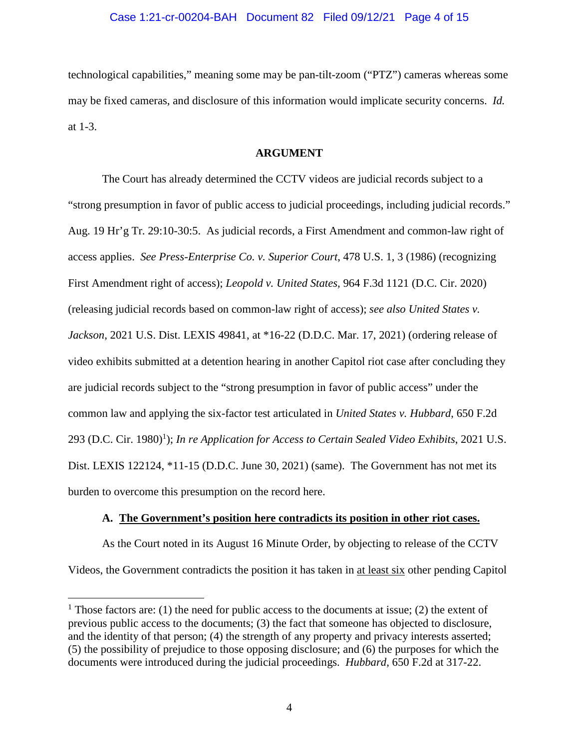## Case 1:21-cr-00204-BAH Document 82 Filed 09/12/21 Page 4 of 15

technological capabilities," meaning some may be pan-tilt-zoom ("PTZ") cameras whereas some may be fixed cameras, and disclosure of this information would implicate security concerns. *Id.*  at 1-3.

## **ARGUMENT**

The Court has already determined the CCTV videos are judicial records subject to a "strong presumption in favor of public access to judicial proceedings, including judicial records." Aug. 19 Hr'g Tr. 29:10-30:5. As judicial records, a First Amendment and common-law right of access applies. *See Press-Enterprise Co. v. Superior Court*, 478 U.S. 1, 3 (1986) (recognizing First Amendment right of access); *Leopold v. United States,* 964 F.3d 1121 (D.C. Cir. 2020) (releasing judicial records based on common-law right of access); *see also United States v. Jackson*, 2021 U.S. Dist. LEXIS 49841, at \*16-22 (D.D.C. Mar. 17, 2021) (ordering release of video exhibits submitted at a detention hearing in another Capitol riot case after concluding they are judicial records subject to the "strong presumption in favor of public access" under the common law and applying the six-factor test articulated in *United States v. Hubbard*, 650 F.2d 293 (D.C. Cir. 1980)<sup>1</sup>); *In re Application for Access to Certain Sealed Video Exhibits*, 2021 U.S. Dist. LEXIS 122124, \*11-15 (D.D.C. June 30, 2021) (same). The Government has not met its burden to overcome this presumption on the record here.

## **A. The Government's position here contradicts its position in other riot cases.**

As the Court noted in its August 16 Minute Order, by objecting to release of the CCTV Videos, the Government contradicts the position it has taken in at least six other pending Capitol

 $\overline{a}$ 

<sup>&</sup>lt;sup>1</sup> Those factors are: (1) the need for public access to the documents at issue; (2) the extent of previous public access to the documents; (3) the fact that someone has objected to disclosure, and the identity of that person; (4) the strength of any property and privacy interests asserted; (5) the possibility of prejudice to those opposing disclosure; and (6) the purposes for which the documents were introduced during the judicial proceedings. *Hubbard*, 650 F.2d at 317-22.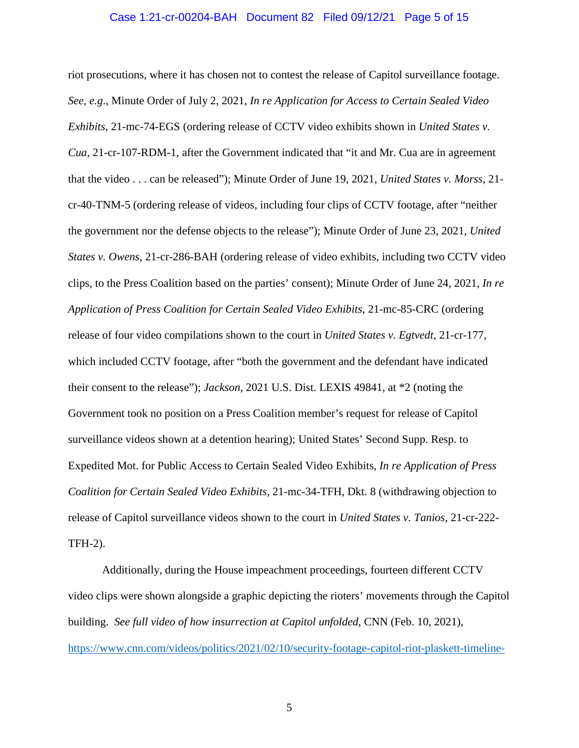#### Case 1:21-cr-00204-BAH Document 82 Filed 09/12/21 Page 5 of 15

riot prosecutions, where it has chosen not to contest the release of Capitol surveillance footage. *See, e.g*., Minute Order of July 2, 2021, *In re Application for Access to Certain Sealed Video Exhibits*, 21-mc-74-EGS (ordering release of CCTV video exhibits shown in *United States v. Cua*, 21-cr-107-RDM-1, after the Government indicated that "it and Mr. Cua are in agreement that the video . . . can be released"); Minute Order of June 19, 2021, *United States v. Morss*, 21 cr-40-TNM-5 (ordering release of videos, including four clips of CCTV footage, after "neither the government nor the defense objects to the release"); Minute Order of June 23, 2021, *United States v. Owens*, 21-cr-286-BAH (ordering release of video exhibits, including two CCTV video clips, to the Press Coalition based on the parties' consent); Minute Order of June 24, 2021, *In re Application of Press Coalition for Certain Sealed Video Exhibits*, 21-mc-85-CRC (ordering release of four video compilations shown to the court in *United States v. Egtvedt*, 21-cr-177, which included CCTV footage, after "both the government and the defendant have indicated their consent to the release"); *Jackson*, 2021 U.S. Dist. LEXIS 49841, at \*2 (noting the Government took no position on a Press Coalition member's request for release of Capitol surveillance videos shown at a detention hearing); United States' Second Supp. Resp. to Expedited Mot. for Public Access to Certain Sealed Video Exhibits, *In re Application of Press Coalition for Certain Sealed Video Exhibits*, 21-mc-34-TFH, Dkt. 8 (withdrawing objection to release of Capitol surveillance videos shown to the court in *United States v. Tanios*, 21-cr-222- TFH-2).

Additionally, during the House impeachment proceedings, fourteen different CCTV video clips were shown alongside a graphic depicting the rioters' movements through the Capitol building. *See full video of how insurrection at Capitol unfolded*, CNN (Feb. 10, 2021), https://www.cnn.com/videos/politics/2021/02/10/security-footage-capitol-riot-plaskett-timeline-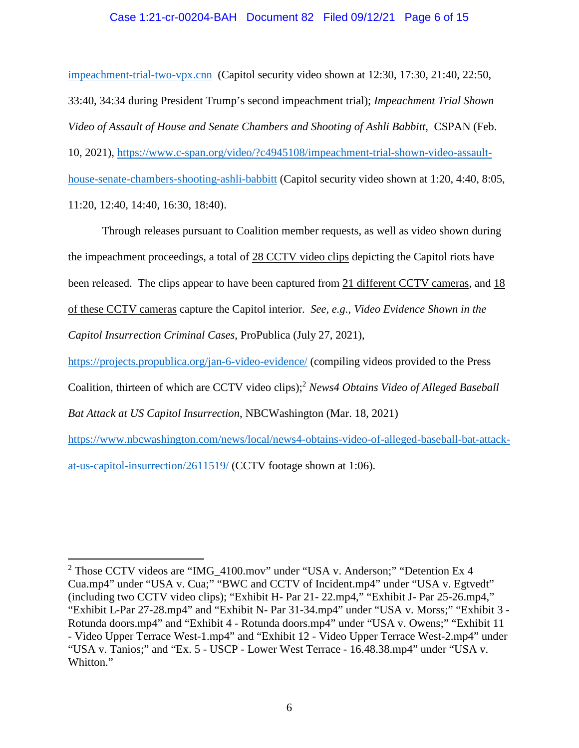## Case 1:21-cr-00204-BAH Document 82 Filed 09/12/21 Page 6 of 15

impeachment-trial-two-vpx.cnn (Capitol security video shown at 12:30, 17:30, 21:40, 22:50, 33:40, 34:34 during President Trump's second impeachment trial); *Impeachment Trial Shown Video of Assault of House and Senate Chambers and Shooting of Ashli Babbitt*, CSPAN (Feb. 10, 2021), https://www.c-span.org/video/?c4945108/impeachment-trial-shown-video-assaulthouse-senate-chambers-shooting-ashli-babbitt (Capitol security video shown at 1:20, 4:40, 8:05,

11:20, 12:40, 14:40, 16:30, 18:40).

 $\overline{a}$ 

Through releases pursuant to Coalition member requests, as well as video shown during the impeachment proceedings, a total of 28 CCTV video clips depicting the Capitol riots have been released. The clips appear to have been captured from 21 different CCTV cameras, and 18 of these CCTV cameras capture the Capitol interior. *See, e.g., Video Evidence Shown in the Capitol Insurrection Criminal Cases*, ProPublica (July 27, 2021),

https://projects.propublica.org/jan-6-video-evidence/ (compiling videos provided to the Press

Coalition, thirteen of which are CCTV video clips);<sup>2</sup> *News4 Obtains Video of Alleged Baseball* 

*Bat Attack at US Capitol Insurrection*, NBCWashington (Mar. 18, 2021)

https://www.nbcwashington.com/news/local/news4-obtains-video-of-alleged-baseball-bat-attackat-us-capitol-insurrection/2611519/ (CCTV footage shown at 1:06).

<sup>&</sup>lt;sup>2</sup> Those CCTV videos are "IMG\_4100.mov" under "USA v. Anderson;" "Detention Ex 4 Cua.mp4" under "USA v. Cua;" "BWC and CCTV of Incident.mp4" under "USA v. Egtvedt" (including two CCTV video clips); "Exhibit H- Par 21- 22.mp4," "Exhibit J- Par 25-26.mp4," "Exhibit L-Par 27-28.mp4" and "Exhibit N- Par 31-34.mp4" under "USA v. Morss;" "Exhibit 3 - Rotunda doors.mp4" and "Exhibit 4 - Rotunda doors.mp4" under "USA v. Owens;" "Exhibit 11 - Video Upper Terrace West-1.mp4" and "Exhibit 12 - Video Upper Terrace West-2.mp4" under "USA v. Tanios;" and "Ex. 5 - USCP - Lower West Terrace - 16.48.38.mp4" under "USA v. Whitton."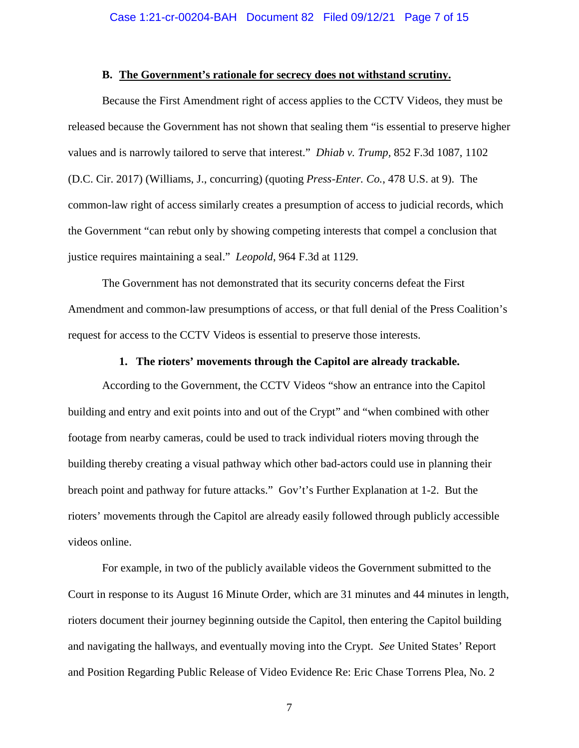#### **B. The Government's rationale for secrecy does not withstand scrutiny.**

Because the First Amendment right of access applies to the CCTV Videos, they must be released because the Government has not shown that sealing them "is essential to preserve higher values and is narrowly tailored to serve that interest." *Dhiab v. Trump,* 852 F.3d 1087, 1102 (D.C. Cir. 2017) (Williams, J., concurring) (quoting *Press-Enter. Co.*, 478 U.S. at 9). The common-law right of access similarly creates a presumption of access to judicial records, which the Government "can rebut only by showing competing interests that compel a conclusion that justice requires maintaining a seal." *Leopold*, 964 F.3d at 1129.

The Government has not demonstrated that its security concerns defeat the First Amendment and common-law presumptions of access, or that full denial of the Press Coalition's request for access to the CCTV Videos is essential to preserve those interests.

### **1. The rioters' movements through the Capitol are already trackable.**

According to the Government, the CCTV Videos "show an entrance into the Capitol building and entry and exit points into and out of the Crypt" and "when combined with other footage from nearby cameras, could be used to track individual rioters moving through the building thereby creating a visual pathway which other bad-actors could use in planning their breach point and pathway for future attacks." Gov't's Further Explanation at 1-2. But the rioters' movements through the Capitol are already easily followed through publicly accessible videos online.

For example, in two of the publicly available videos the Government submitted to the Court in response to its August 16 Minute Order, which are 31 minutes and 44 minutes in length, rioters document their journey beginning outside the Capitol, then entering the Capitol building and navigating the hallways, and eventually moving into the Crypt. *See* United States' Report and Position Regarding Public Release of Video Evidence Re: Eric Chase Torrens Plea, No. 2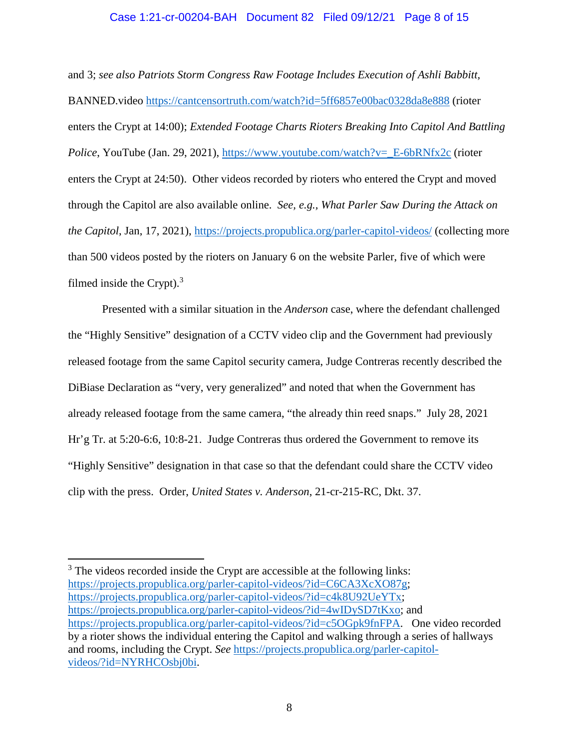### Case 1:21-cr-00204-BAH Document 82 Filed 09/12/21 Page 8 of 15

and 3; *see also Patriots Storm Congress Raw Footage Includes Execution of Ashli Babbitt,*  BANNED.video https://cantcensortruth.com/watch?id=5ff6857e00bac0328da8e888 (rioter enters the Crypt at 14:00); *Extended Footage Charts Rioters Breaking Into Capitol And Battling Police*, YouTube (Jan. 29, 2021), https://www.youtube.com/watch?v= E-6bRNfx2c (rioter enters the Crypt at 24:50). Other videos recorded by rioters who entered the Crypt and moved through the Capitol are also available online. *See, e.g., What Parler Saw During the Attack on the Capitol*, Jan, 17, 2021), https://projects.propublica.org/parler-capitol-videos/ (collecting more than 500 videos posted by the rioters on January 6 on the website Parler, five of which were filmed inside the Crypt). $3$ 

Presented with a similar situation in the *Anderson* case, where the defendant challenged the "Highly Sensitive" designation of a CCTV video clip and the Government had previously released footage from the same Capitol security camera, Judge Contreras recently described the DiBiase Declaration as "very, very generalized" and noted that when the Government has already released footage from the same camera, "the already thin reed snaps." July 28, 2021 Hr'g Tr. at 5:20-6:6, 10:8-21. Judge Contreras thus ordered the Government to remove its "Highly Sensitive" designation in that case so that the defendant could share the CCTV video clip with the press. Order, *United States v. Anderson*, 21-cr-215-RC, Dkt. 37.

 $\overline{a}$ 

<sup>&</sup>lt;sup>3</sup> The videos recorded inside the Crypt are accessible at the following links: https://projects.propublica.org/parler-capitol-videos/?id=C6CA3XcXO87g; https://projects.propublica.org/parler-capitol-videos/?id=c4k8U92UeYTx; https://projects.propublica.org/parler-capitol-videos/?id=4wIDySD7tKxo; and https://projects.propublica.org/parler-capitol-videos/?id=c5OGpk9fnFPA. One video recorded by a rioter shows the individual entering the Capitol and walking through a series of hallways and rooms, including the Crypt. *See* https://projects.propublica.org/parler-capitolvideos/?id=NYRHCOsbj0bi.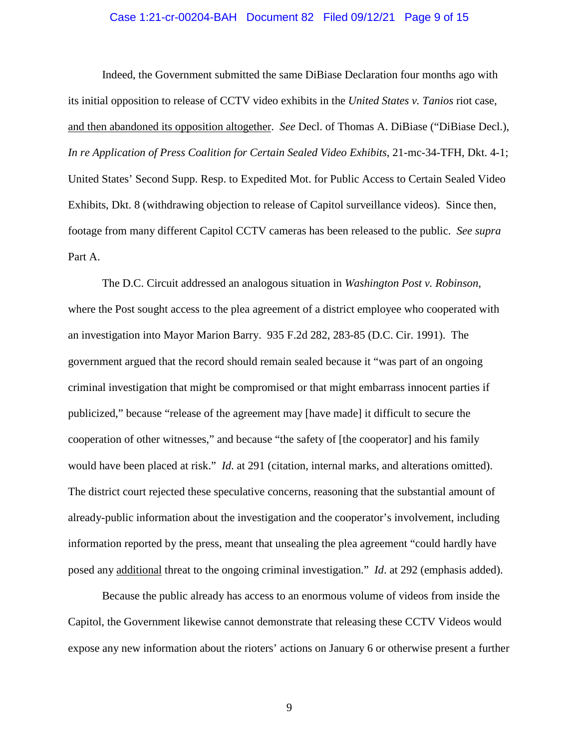## Case 1:21-cr-00204-BAH Document 82 Filed 09/12/21 Page 9 of 15

Indeed, the Government submitted the same DiBiase Declaration four months ago with its initial opposition to release of CCTV video exhibits in the *United States v. Tanios* riot case, and then abandoned its opposition altogether. *See* Decl. of Thomas A. DiBiase ("DiBiase Decl.), *In re Application of Press Coalition for Certain Sealed Video Exhibits*, 21-mc-34-TFH, Dkt. 4-1; United States' Second Supp. Resp. to Expedited Mot. for Public Access to Certain Sealed Video Exhibits, Dkt. 8 (withdrawing objection to release of Capitol surveillance videos). Since then, footage from many different Capitol CCTV cameras has been released to the public. *See supra*  Part A.

The D.C. Circuit addressed an analogous situation in *Washington Post v. Robinson*, where the Post sought access to the plea agreement of a district employee who cooperated with an investigation into Mayor Marion Barry. 935 F.2d 282, 283-85 (D.C. Cir. 1991). The government argued that the record should remain sealed because it "was part of an ongoing criminal investigation that might be compromised or that might embarrass innocent parties if publicized," because "release of the agreement may [have made] it difficult to secure the cooperation of other witnesses," and because "the safety of [the cooperator] and his family would have been placed at risk." *Id*. at 291 (citation, internal marks, and alterations omitted). The district court rejected these speculative concerns, reasoning that the substantial amount of already-public information about the investigation and the cooperator's involvement, including information reported by the press, meant that unsealing the plea agreement "could hardly have posed any additional threat to the ongoing criminal investigation." *Id*. at 292 (emphasis added).

Because the public already has access to an enormous volume of videos from inside the Capitol, the Government likewise cannot demonstrate that releasing these CCTV Videos would expose any new information about the rioters' actions on January 6 or otherwise present a further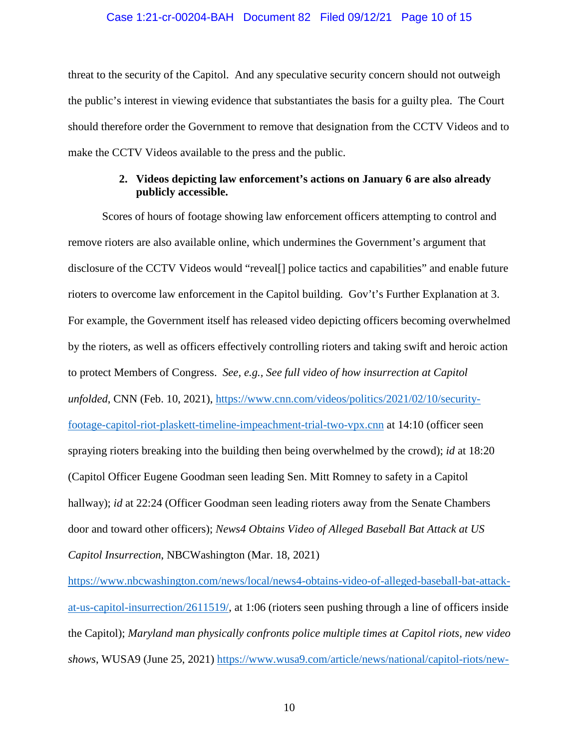### Case 1:21-cr-00204-BAH Document 82 Filed 09/12/21 Page 10 of 15

threat to the security of the Capitol. And any speculative security concern should not outweigh the public's interest in viewing evidence that substantiates the basis for a guilty plea. The Court should therefore order the Government to remove that designation from the CCTV Videos and to make the CCTV Videos available to the press and the public.

# **2. Videos depicting law enforcement's actions on January 6 are also already publicly accessible.**

Scores of hours of footage showing law enforcement officers attempting to control and remove rioters are also available online, which undermines the Government's argument that disclosure of the CCTV Videos would "reveal[] police tactics and capabilities" and enable future rioters to overcome law enforcement in the Capitol building. Gov't's Further Explanation at 3. For example, the Government itself has released video depicting officers becoming overwhelmed by the rioters, as well as officers effectively controlling rioters and taking swift and heroic action to protect Members of Congress. *See, e.g., See full video of how insurrection at Capitol unfolded*, CNN (Feb. 10, 2021), https://www.cnn.com/videos/politics/2021/02/10/securityfootage-capitol-riot-plaskett-timeline-impeachment-trial-two-vpx.cnn at 14:10 (officer seen spraying rioters breaking into the building then being overwhelmed by the crowd); *id* at 18:20 (Capitol Officer Eugene Goodman seen leading Sen. Mitt Romney to safety in a Capitol hallway); *id* at 22:24 (Officer Goodman seen leading rioters away from the Senate Chambers door and toward other officers); *News4 Obtains Video of Alleged Baseball Bat Attack at US Capitol Insurrection*, NBCWashington (Mar. 18, 2021)

https://www.nbcwashington.com/news/local/news4-obtains-video-of-alleged-baseball-bat-attackat-us-capitol-insurrection/2611519/, at 1:06 (rioters seen pushing through a line of officers inside the Capitol); *Maryland man physically confronts police multiple times at Capitol riots, new video shows*, WUSA9 (June 25, 2021) https://www.wusa9.com/article/news/national/capitol-riots/new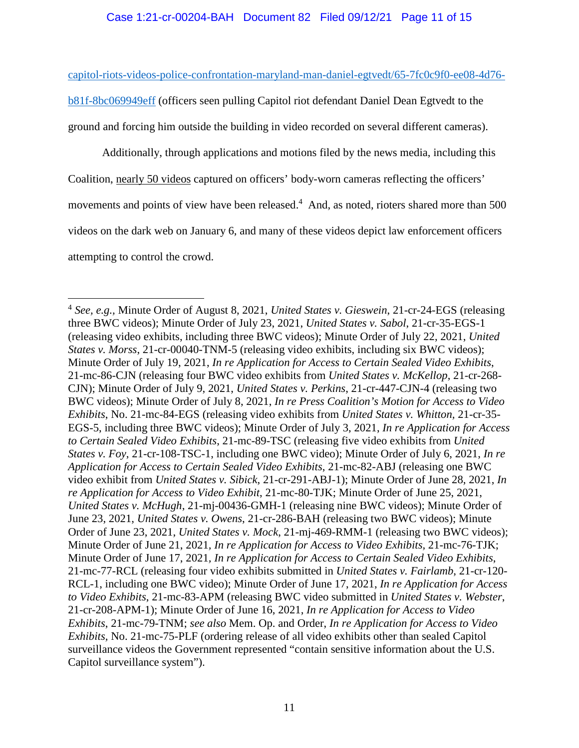capitol-riots-videos-police-confrontation-maryland-man-daniel-egtvedt/65-7fc0c9f0-ee08-4d76 b81f-8bc069949eff (officers seen pulling Capitol riot defendant Daniel Dean Egtvedt to the ground and forcing him outside the building in video recorded on several different cameras).

Additionally, through applications and motions filed by the news media, including this Coalition, nearly 50 videos captured on officers' body-worn cameras reflecting the officers' movements and points of view have been released.<sup>4</sup> And, as noted, rioters shared more than 500 videos on the dark web on January 6, and many of these videos depict law enforcement officers attempting to control the crowd.

 $\overline{a}$ 4 *See, e.g.,* Minute Order of August 8, 2021, *United States v. Gieswein*, 21-cr-24-EGS (releasing three BWC videos); Minute Order of July 23, 2021, *United States v. Sabol*, 21-cr-35-EGS-1 (releasing video exhibits, including three BWC videos); Minute Order of July 22, 2021, *United States v. Morss*, 21-cr-00040-TNM-5 (releasing video exhibits, including six BWC videos); Minute Order of July 19, 2021, *In re Application for Access to Certain Sealed Video Exhibits*, 21-mc-86-CJN (releasing four BWC video exhibits from *United States v. McKellop*, 21-cr-268- CJN); Minute Order of July 9, 2021, *United States v. Perkins*, 21-cr-447-CJN-4 (releasing two BWC videos); Minute Order of July 8, 2021, *In re Press Coalition's Motion for Access to Video Exhibits*, No. 21-mc-84-EGS (releasing video exhibits from *United States v. Whitton,* 21-cr-35- EGS-5, including three BWC videos); Minute Order of July 3, 2021, *In re Application for Access to Certain Sealed Video Exhibits*, 21-mc-89-TSC (releasing five video exhibits from *United States v. Foy*, 21-cr-108-TSC-1, including one BWC video); Minute Order of July 6, 2021, *In re Application for Access to Certain Sealed Video Exhibits*, 21-mc-82-ABJ (releasing one BWC video exhibit from *United States v. Sibick*, 21-cr-291-ABJ-1); Minute Order of June 28, 2021, *In re Application for Access to Video Exhibit*, 21-mc-80-TJK; Minute Order of June 25, 2021, *United States v. McHugh*, 21-mj-00436-GMH-1 (releasing nine BWC videos); Minute Order of June 23, 2021, *United States v. Owens*, 21-cr-286-BAH (releasing two BWC videos); Minute Order of June 23, 2021, *United States v. Mock*, 21-mj-469-RMM-1 (releasing two BWC videos); Minute Order of June 21, 2021*, In re Application for Access to Video Exhibits,* 21-mc-76-TJK; Minute Order of June 17, 2021*, In re Application for Access to Certain Sealed Video Exhibits*, 21-mc-77-RCL (releasing four video exhibits submitted in *United States v. Fairlamb*, 21-cr-120- RCL-1, including one BWC video); Minute Order of June 17, 2021, *In re Application for Access to Video Exhibits*, 21-mc-83-APM (releasing BWC video submitted in *United States v. Webster*, 21-cr-208-APM-1); Minute Order of June 16, 2021, *In re Application for Access to Video Exhibits*, 21-mc-79-TNM; *see also* Mem. Op. and Order, *In re Application for Access to Video Exhibits,* No. 21-mc-75-PLF (ordering release of all video exhibits other than sealed Capitol surveillance videos the Government represented "contain sensitive information about the U.S. Capitol surveillance system").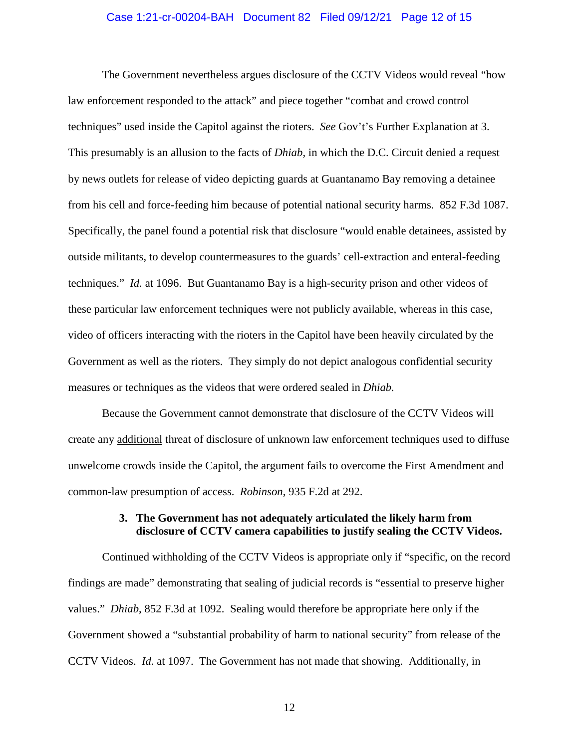### Case 1:21-cr-00204-BAH Document 82 Filed 09/12/21 Page 12 of 15

The Government nevertheless argues disclosure of the CCTV Videos would reveal "how law enforcement responded to the attack" and piece together "combat and crowd control techniques" used inside the Capitol against the rioters. *See* Gov't's Further Explanation at 3. This presumably is an allusion to the facts of *Dhiab*, in which the D.C. Circuit denied a request by news outlets for release of video depicting guards at Guantanamo Bay removing a detainee from his cell and force-feeding him because of potential national security harms. 852 F.3d 1087. Specifically, the panel found a potential risk that disclosure "would enable detainees, assisted by outside militants, to develop countermeasures to the guards' cell-extraction and enteral-feeding techniques." *Id.* at 1096. But Guantanamo Bay is a high-security prison and other videos of these particular law enforcement techniques were not publicly available, whereas in this case, video of officers interacting with the rioters in the Capitol have been heavily circulated by the Government as well as the rioters. They simply do not depict analogous confidential security measures or techniques as the videos that were ordered sealed in *Dhiab.* 

Because the Government cannot demonstrate that disclosure of the CCTV Videos will create any additional threat of disclosure of unknown law enforcement techniques used to diffuse unwelcome crowds inside the Capitol, the argument fails to overcome the First Amendment and common-law presumption of access. *Robinson*, 935 F.2d at 292.

# **3. The Government has not adequately articulated the likely harm from disclosure of CCTV camera capabilities to justify sealing the CCTV Videos.**

Continued withholding of the CCTV Videos is appropriate only if "specific, on the record findings are made" demonstrating that sealing of judicial records is "essential to preserve higher values." *Dhiab*, 852 F.3d at 1092. Sealing would therefore be appropriate here only if the Government showed a "substantial probability of harm to national security" from release of the CCTV Videos. *Id*. at 1097. The Government has not made that showing. Additionally, in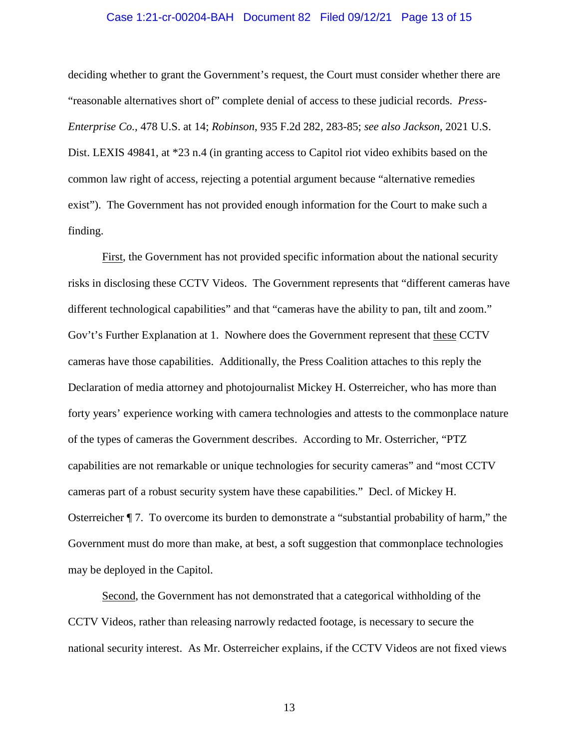## Case 1:21-cr-00204-BAH Document 82 Filed 09/12/21 Page 13 of 15

deciding whether to grant the Government's request, the Court must consider whether there are "reasonable alternatives short of" complete denial of access to these judicial records. *Press-Enterprise Co.*, 478 U.S. at 14; *Robinson*, 935 F.2d 282, 283-85; *see also Jackson*, 2021 U.S. Dist. LEXIS 49841, at \*23 n.4 (in granting access to Capitol riot video exhibits based on the common law right of access, rejecting a potential argument because "alternative remedies exist"). The Government has not provided enough information for the Court to make such a finding.

First, the Government has not provided specific information about the national security risks in disclosing these CCTV Videos. The Government represents that "different cameras have different technological capabilities" and that "cameras have the ability to pan, tilt and zoom." Gov't's Further Explanation at 1. Nowhere does the Government represent that these CCTV cameras have those capabilities. Additionally, the Press Coalition attaches to this reply the Declaration of media attorney and photojournalist Mickey H. Osterreicher, who has more than forty years' experience working with camera technologies and attests to the commonplace nature of the types of cameras the Government describes. According to Mr. Osterricher, "PTZ capabilities are not remarkable or unique technologies for security cameras" and "most CCTV cameras part of a robust security system have these capabilities." Decl. of Mickey H. Osterreicher ¶ 7. To overcome its burden to demonstrate a "substantial probability of harm," the Government must do more than make, at best, a soft suggestion that commonplace technologies may be deployed in the Capitol.

Second, the Government has not demonstrated that a categorical withholding of the CCTV Videos, rather than releasing narrowly redacted footage, is necessary to secure the national security interest. As Mr. Osterreicher explains, if the CCTV Videos are not fixed views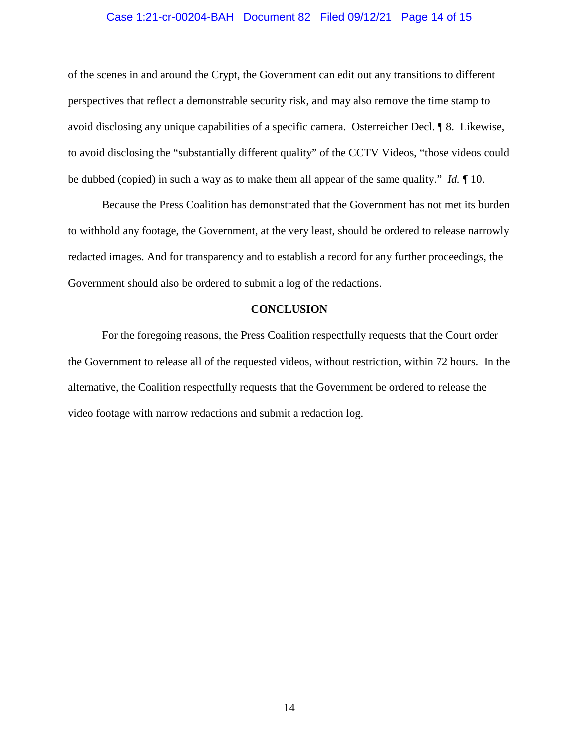### Case 1:21-cr-00204-BAH Document 82 Filed 09/12/21 Page 14 of 15

of the scenes in and around the Crypt, the Government can edit out any transitions to different perspectives that reflect a demonstrable security risk, and may also remove the time stamp to avoid disclosing any unique capabilities of a specific camera. Osterreicher Decl. ¶ 8. Likewise, to avoid disclosing the "substantially different quality" of the CCTV Videos, "those videos could be dubbed (copied) in such a way as to make them all appear of the same quality." *Id.* ¶ 10.

Because the Press Coalition has demonstrated that the Government has not met its burden to withhold any footage, the Government, at the very least, should be ordered to release narrowly redacted images. And for transparency and to establish a record for any further proceedings, the Government should also be ordered to submit a log of the redactions.

### **CONCLUSION**

For the foregoing reasons, the Press Coalition respectfully requests that the Court order the Government to release all of the requested videos, without restriction, within 72 hours. In the alternative, the Coalition respectfully requests that the Government be ordered to release the video footage with narrow redactions and submit a redaction log.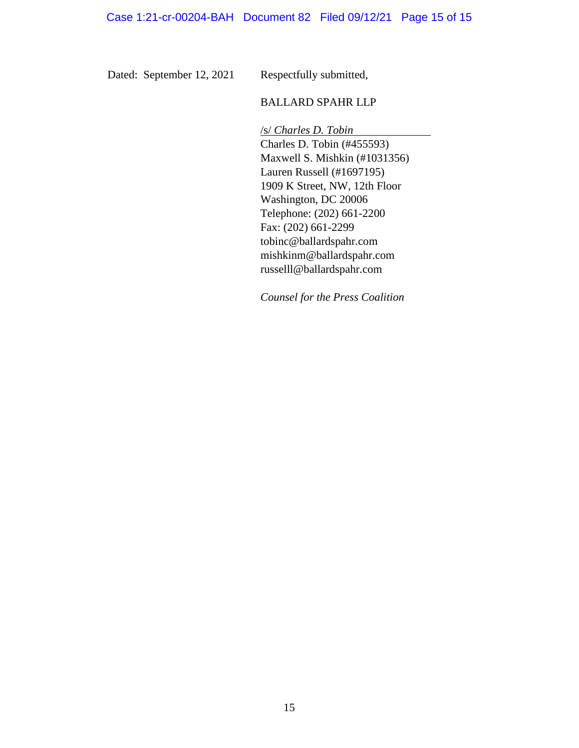Dated: September 12, 2021

Respectfully submitted,

## BALLARD SPAHR LLP

/s/ *Charles D. Tobin* Charles D. Tobin (#455593) Maxwell S. Mishkin (#1031356) Lauren Russell (#1697195) 1909 K Street, NW, 12th Floor Washington, DC 20006 Telephone: (202) 661-2200 Fax: (202) 661-2299 tobinc@ballardspahr.com mishkinm@ballardspahr.com russelll@ballardspahr.com

*Counsel for the Press Coalition*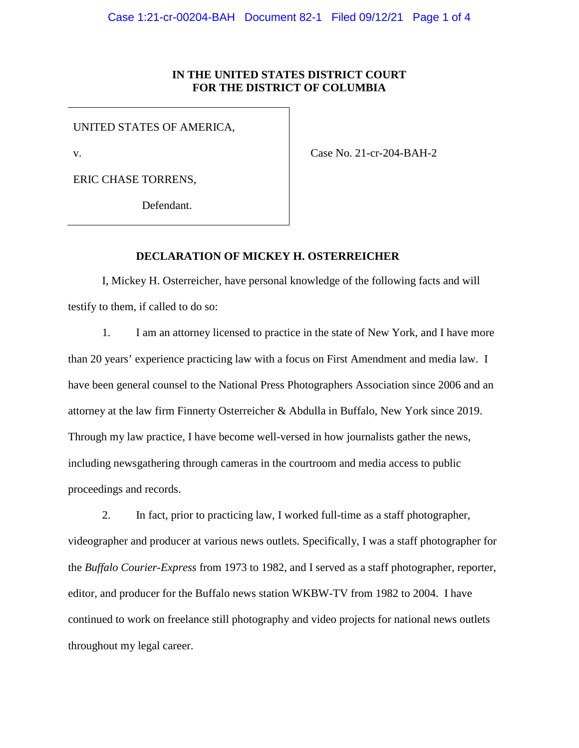# **IN THE UNITED STATES DISTRICT COURT FOR THE DISTRICT OF COLUMBIA**

UNITED STATES OF AMERICA,

v.

Case No. 21-cr-204-BAH-2

ERIC CHASE TORRENS,

Defendant.

# **DECLARATION OF MICKEY H. OSTERREICHER**

I, Mickey H. Osterreicher, have personal knowledge of the following facts and will testify to them, if called to do so:

1. I am an attorney licensed to practice in the state of New York, and I have more than 20 years' experience practicing law with a focus on First Amendment and media law. I have been general counsel to the National Press Photographers Association since 2006 and an attorney at the law firm Finnerty Osterreicher & Abdulla in Buffalo, New York since 2019. Through my law practice, I have become well-versed in how journalists gather the news, including newsgathering through cameras in the courtroom and media access to public proceedings and records.

2. In fact, prior to practicing law, I worked full-time as a staff photographer, videographer and producer at various news outlets. Specifically, I was a staff photographer for the *Buffalo Courier-Express* from 1973 to 1982, and I served as a staff photographer, reporter, editor, and producer for the Buffalo news station WKBW-TV from 1982 to 2004. I have continued to work on freelance still photography and video projects for national news outlets throughout my legal career.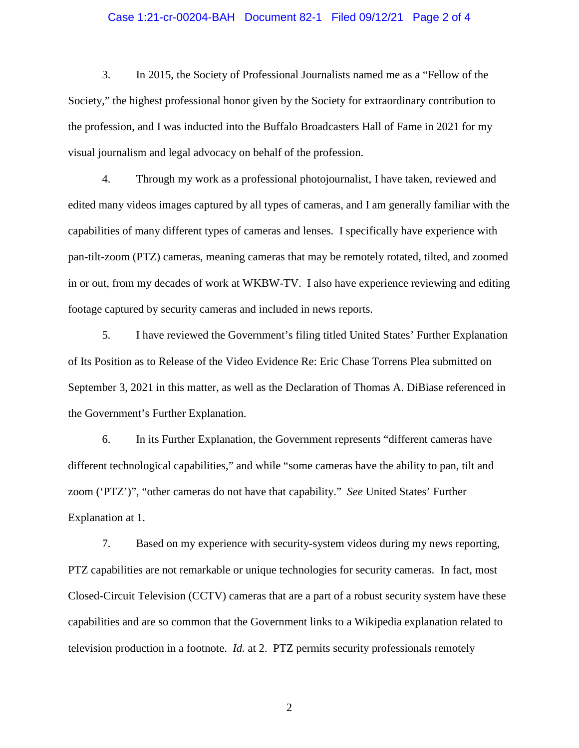### Case 1:21-cr-00204-BAH Document 82-1 Filed 09/12/21 Page 2 of 4

3. In 2015, the Society of Professional Journalists named me as a "Fellow of the Society," the highest professional honor given by the Society for extraordinary contribution to the profession, and I was inducted into the Buffalo Broadcasters Hall of Fame in 2021 for my visual journalism and legal advocacy on behalf of the profession.

4. Through my work as a professional photojournalist, I have taken, reviewed and edited many videos images captured by all types of cameras, and I am generally familiar with the capabilities of many different types of cameras and lenses. I specifically have experience with pan-tilt-zoom (PTZ) cameras, meaning cameras that may be remotely rotated, tilted, and zoomed in or out, from my decades of work at WKBW-TV. I also have experience reviewing and editing footage captured by security cameras and included in news reports.

5. I have reviewed the Government's filing titled United States' Further Explanation of Its Position as to Release of the Video Evidence Re: Eric Chase Torrens Plea submitted on September 3, 2021 in this matter, as well as the Declaration of Thomas A. DiBiase referenced in the Government's Further Explanation.

6. In its Further Explanation, the Government represents "different cameras have different technological capabilities," and while "some cameras have the ability to pan, tilt and zoom ('PTZ')", "other cameras do not have that capability." *See* United States' Further Explanation at 1.

7. Based on my experience with security-system videos during my news reporting, PTZ capabilities are not remarkable or unique technologies for security cameras. In fact, most Closed-Circuit Television (CCTV) cameras that are a part of a robust security system have these capabilities and are so common that the Government links to a Wikipedia explanation related to television production in a footnote. *Id.* at 2. PTZ permits security professionals remotely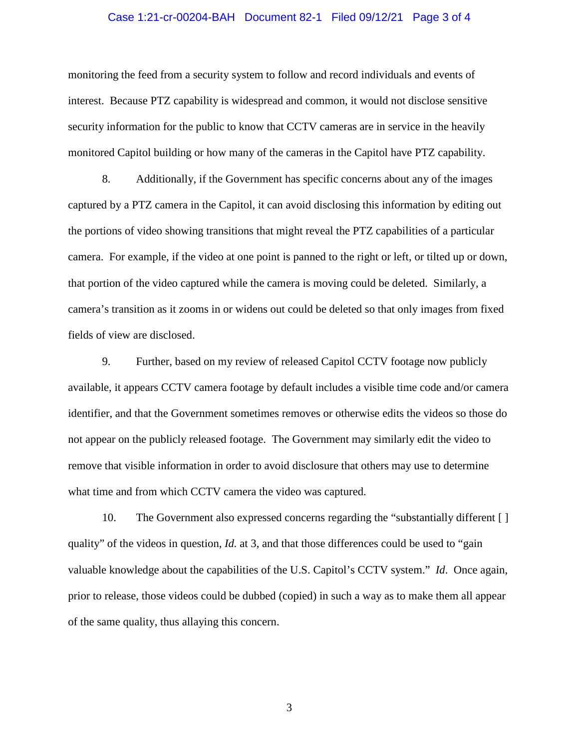#### Case 1:21-cr-00204-BAH Document 82-1 Filed 09/12/21 Page 3 of 4

monitoring the feed from a security system to follow and record individuals and events of interest. Because PTZ capability is widespread and common, it would not disclose sensitive security information for the public to know that CCTV cameras are in service in the heavily monitored Capitol building or how many of the cameras in the Capitol have PTZ capability.

8. Additionally, if the Government has specific concerns about any of the images captured by a PTZ camera in the Capitol, it can avoid disclosing this information by editing out the portions of video showing transitions that might reveal the PTZ capabilities of a particular camera. For example, if the video at one point is panned to the right or left, or tilted up or down, that portion of the video captured while the camera is moving could be deleted. Similarly, a camera's transition as it zooms in or widens out could be deleted so that only images from fixed fields of view are disclosed.

9. Further, based on my review of released Capitol CCTV footage now publicly available, it appears CCTV camera footage by default includes a visible time code and/or camera identifier, and that the Government sometimes removes or otherwise edits the videos so those do not appear on the publicly released footage. The Government may similarly edit the video to remove that visible information in order to avoid disclosure that others may use to determine what time and from which CCTV camera the video was captured.

10. The Government also expressed concerns regarding the "substantially different [ ] quality" of the videos in question, *Id.* at 3, and that those differences could be used to "gain valuable knowledge about the capabilities of the U.S. Capitol's CCTV system." *Id*. Once again, prior to release, those videos could be dubbed (copied) in such a way as to make them all appear of the same quality, thus allaying this concern.